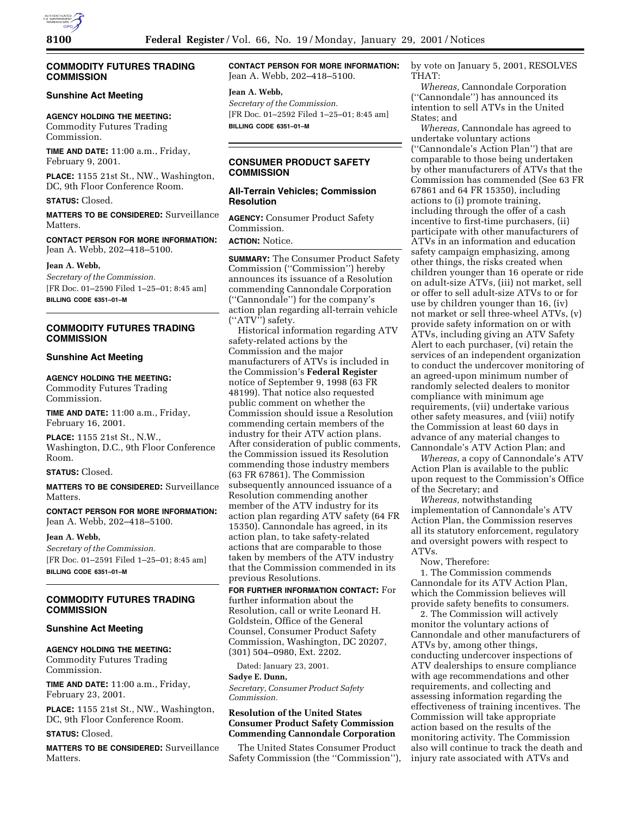## **COMMODITY FUTURES TRADING COMMISSION**

# **Sunshine Act Meeting**

**AGENCY HOLDING THE MEETING:** Commodity Futures Trading Commission.

**TIME AND DATE:** 11:00 a.m., Friday, February 9, 2001.

**PLACE:** 1155 21st St., NW., Washington, DC, 9th Floor Conference Room.

**STATUS:** Closed.

**MATTERS TO BE CONSIDERED:** Surveillance Matters.

**CONTACT PERSON FOR MORE INFORMATION:** Jean A. Webb, 202–418–5100.

**Jean A. Webb,**

*Secretary of the Commission.* [FR Doc. 01–2590 Filed 1–25–01; 8:45 am] **BILLING CODE 6351–01–M**

# **COMMODITY FUTURES TRADING COMMISSION**

## **Sunshine Act Meeting**

**AGENCY HOLDING THE MEETING:**

Commodity Futures Trading Commission.

**TIME AND DATE:** 11:00 a.m., Friday, February 16, 2001.

**PLACE:** 1155 21st St., N.W., Washington, D.C., 9th Floor Conference Room.

**STATUS:** Closed.

**MATTERS TO BE CONSIDERED:** Surveillance Matters.

**CONTACT PERSON FOR MORE INFORMATION:** Jean A. Webb, 202–418–5100.

**Jean A. Webb,**

*Secretary of the Commission.* [FR Doc. 01–2591 Filed 1–25–01; 8:45 am] **BILLING CODE 6351–01–M**

## **COMMODITY FUTURES TRADING COMMISSION**

#### **Sunshine Act Meeting**

# **AGENCY HOLDING THE MEETING:**

Commodity Futures Trading Commission.

**TIME AND DATE:** 11:00 a.m., Friday, February 23, 2001.

**PLACE:** 1155 21st St., NW., Washington, DC, 9th Floor Conference Room.

**STATUS:** Closed.

**MATTERS TO BE CONSIDERED:** Surveillance **Matters** 

**CONTACT PERSON FOR MORE INFORMATION:** Jean A. Webb, 202–418–5100.

#### **Jean A. Webb,**

*Secretary of the Commission.* [FR Doc. 01–2592 Filed 1–25–01; 8:45 am] **BILLING CODE 6351–01–M**

# **CONSUMER PRODUCT SAFETY COMMISSION**

## **All-Terrain Vehicles; Commission Resolution**

**AGENCY:** Consumer Product Safety Commission.

**ACTION:** Notice.

**SUMMARY:** The Consumer Product Safety Commission (''Commission'') hereby announces its issuance of a Resolution commending Cannondale Corporation (''Cannondale'') for the company's action plan regarding all-terrain vehicle (''ATV'') safety.

Historical information regarding ATV safety-related actions by the Commission and the major manufacturers of ATVs is included in the Commission's **Federal Register** notice of September 9, 1998 (63 FR 48199). That notice also requested public comment on whether the Commission should issue a Resolution commending certain members of the industry for their ATV action plans. After consideration of public comments, the Commission issued its Resolution commending those industry members (63 FR 67861). The Commission subsequently announced issuance of a Resolution commending another member of the ATV industry for its action plan regarding ATV safety (64 FR 15350). Cannondale has agreed, in its action plan, to take safety-related actions that are comparable to those taken by members of the ATV industry that the Commission commended in its previous Resolutions.

**FOR FURTHER INFORMATION CONTACT:** For further information about the Resolution, call or write Leonard H. Goldstein, Office of the General Counsel, Consumer Product Safety Commission, Washington, DC 20207, (301) 504–0980, Ext. 2202.

Dated: January 23, 2001.

#### **Sadye E. Dunn,**

*Secretary, Consumer Product Safety Commission.*

# **Resolution of the United States Consumer Product Safety Commission Commending Cannondale Corporation**

The United States Consumer Product Safety Commission (the ''Commission''), by vote on January 5, 2001, RESOLVES THAT:

*Whereas,* Cannondale Corporation (''Cannondale'') has announced its intention to sell ATVs in the United States; and

*Whereas,* Cannondale has agreed to undertake voluntary actions (''Cannondale's Action Plan'') that are comparable to those being undertaken by other manufacturers of ATVs that the Commission has commended (See 63 FR 67861 and 64 FR 15350), including actions to (i) promote training, including through the offer of a cash incentive to first-time purchasers, (ii) participate with other manufacturers of ATVs in an information and education safety campaign emphasizing, among other things, the risks created when children younger than 16 operate or ride on adult-size ATVs, (iii) not market, sell or offer to sell adult-size ATVs to or for use by children younger than 16, (iv) not market or sell three-wheel ATVs, (v) provide safety information on or with ATVs, including giving an ATV Safety Alert to each purchaser, (vi) retain the services of an independent organization to conduct the undercover monitoring of an agreed-upon minimum number of randomly selected dealers to monitor compliance with minimum age requirements, (vii) undertake various other safety measures, and (viii) notify the Commission at least 60 days in advance of any material changes to Cannondale's ATV Action Plan; and

*Whereas,* a copy of Cannondale's ATV Action Plan is available to the public upon request to the Commission's Office of the Secretary; and

*Whereas,* notwithstanding implementation of Cannondale's ATV Action Plan, the Commission reserves all its statutory enforcement, regulatory and oversight powers with respect to ATVs.

Now, Therefore:

1. The Commission commends Cannondale for its ATV Action Plan, which the Commission believes will provide safety benefits to consumers.

2. The Commission will actively monitor the voluntary actions of Cannondale and other manufacturers of ATVs by, among other things, conducting undercover inspections of ATV dealerships to ensure compliance with age recommendations and other requirements, and collecting and assessing information regarding the effectiveness of training incentives. The Commission will take appropriate action based on the results of the monitoring activity. The Commission also will continue to track the death and injury rate associated with ATVs and